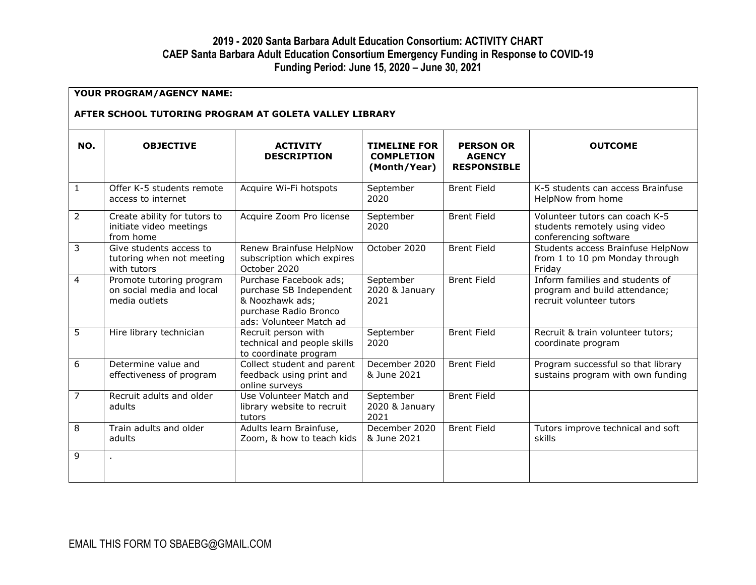## **2019 - 2020 Santa Barbara Adult Education Consortium: ACTIVITY CHART CAEP Santa Barbara Adult Education Consortium Emergency Funding in Response to COVID-19 Funding Period: June 15, 2020 – June 30, 2021**

| YOUR PROGRAM/AGENCY NAME:<br>AFTER SCHOOL TUTORING PROGRAM AT GOLETA VALLEY LIBRARY |                                                                        |                                                                                                                          |                                                          |                                                         |                                                                                              |  |  |  |
|-------------------------------------------------------------------------------------|------------------------------------------------------------------------|--------------------------------------------------------------------------------------------------------------------------|----------------------------------------------------------|---------------------------------------------------------|----------------------------------------------------------------------------------------------|--|--|--|
| NO.                                                                                 | <b>OBJECTIVE</b>                                                       | <b>ACTIVITY</b><br><b>DESCRIPTION</b>                                                                                    | <b>TIMELINE FOR</b><br><b>COMPLETION</b><br>(Month/Year) | <b>PERSON OR</b><br><b>AGENCY</b><br><b>RESPONSIBLE</b> | <b>OUTCOME</b>                                                                               |  |  |  |
| $\mathbf{1}$                                                                        | Offer K-5 students remote<br>access to internet                        | Acquire Wi-Fi hotspots                                                                                                   | September<br>2020                                        | <b>Brent Field</b>                                      | K-5 students can access Brainfuse<br>HelpNow from home                                       |  |  |  |
| $\overline{2}$                                                                      | Create ability for tutors to<br>initiate video meetings<br>from home   | Acquire Zoom Pro license                                                                                                 | September<br>2020                                        | <b>Brent Field</b>                                      | Volunteer tutors can coach K-5<br>students remotely using video<br>conferencing software     |  |  |  |
| 3                                                                                   | Give students access to<br>tutoring when not meeting<br>with tutors    | Renew Brainfuse HelpNow<br>subscription which expires<br>October 2020                                                    | October 2020                                             | <b>Brent Field</b>                                      | Students access Brainfuse HelpNow<br>from 1 to 10 pm Monday through<br>Friday                |  |  |  |
| $\overline{4}$                                                                      | Promote tutoring program<br>on social media and local<br>media outlets | Purchase Facebook ads;<br>purchase SB Independent<br>& Noozhawk ads;<br>purchase Radio Bronco<br>ads: Volunteer Match ad | September<br>2020 & January<br>2021                      | <b>Brent Field</b>                                      | Inform families and students of<br>program and build attendance;<br>recruit volunteer tutors |  |  |  |
| 5                                                                                   | Hire library technician                                                | Recruit person with<br>technical and people skills<br>to coordinate program                                              | September<br>2020                                        | <b>Brent Field</b>                                      | Recruit & train volunteer tutors;<br>coordinate program                                      |  |  |  |
| 6                                                                                   | Determine value and<br>effectiveness of program                        | Collect student and parent<br>feedback using print and<br>online surveys                                                 | December 2020<br>& June 2021                             | <b>Brent Field</b>                                      | Program successful so that library<br>sustains program with own funding                      |  |  |  |
| $\overline{7}$                                                                      | Recruit adults and older<br>adults                                     | Use Volunteer Match and<br>library website to recruit<br>tutors                                                          | September<br>2020 & January<br>2021                      | <b>Brent Field</b>                                      |                                                                                              |  |  |  |
| 8                                                                                   | Train adults and older<br>adults                                       | Adults learn Brainfuse,<br>Zoom, & how to teach kids                                                                     | December 2020<br>& June 2021                             | <b>Brent Field</b>                                      | Tutors improve technical and soft<br>skills                                                  |  |  |  |
| 9                                                                                   |                                                                        |                                                                                                                          |                                                          |                                                         |                                                                                              |  |  |  |